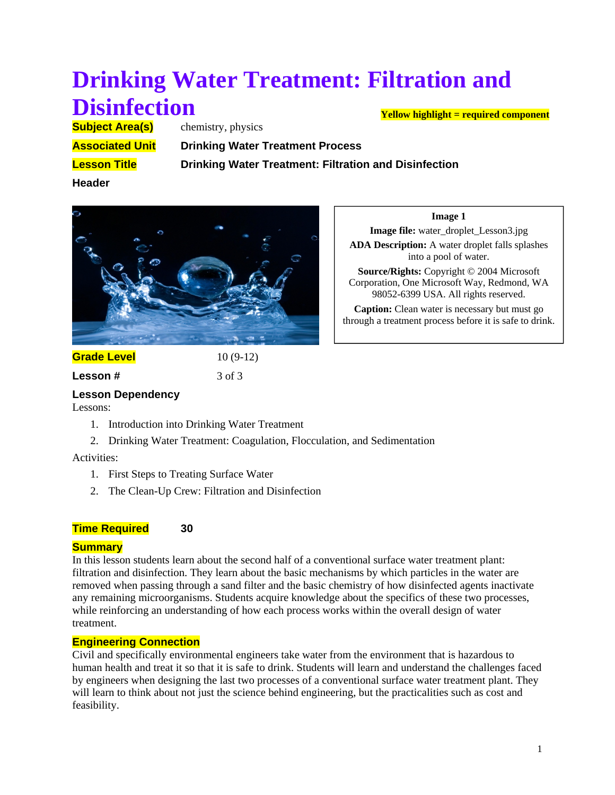# **Drinking Water Treatment: Filtration and Disinfection Yellow highlight = required component**

**Subject Area(s)** chemistry, physics **Associated Unit Drinking Water Treatment Process** 

**Lesson Title Drinking Water Treatment: Filtration and Disinfection**

**Header**



# **Grade Level** 10 (9-12)

**Lesson #** 3 of 3

#### **Image 1 Image file:** water\_droplet\_Lesson3.jpg

**ADA Description:** A water droplet falls splashes into a pool of water.

**Source/Rights:** Copyright © 2004 Microsoft Corporation, One Microsoft Way, Redmond, WA 98052-6399 USA. All rights reserved.

**Caption:** Clean water is necessary but must go through a treatment process before it is safe to drink.

**Lesson Dependency** 

Lessons:

- 1. Introduction into Drinking Water Treatment
- 2. Drinking Water Treatment: Coagulation, Flocculation, and Sedimentation

# Activities:

- 1. First Steps to Treating Surface Water
- 2. The Clean-Up Crew: Filtration and Disinfection

# **Time Required** 30

# **Summary**

In this lesson students learn about the second half of a conventional surface water treatment plant: filtration and disinfection. They learn about the basic mechanisms by which particles in the water are removed when passing through a sand filter and the basic chemistry of how disinfected agents inactivate any remaining microorganisms. Students acquire knowledge about the specifics of these two processes, while reinforcing an understanding of how each process works within the overall design of water treatment.

# **Engineering Connection**

Civil and specifically environmental engineers take water from the environment that is hazardous to human health and treat it so that it is safe to drink. Students will learn and understand the challenges faced by engineers when designing the last two processes of a conventional surface water treatment plant. They will learn to think about not just the science behind engineering, but the practicalities such as cost and feasibility.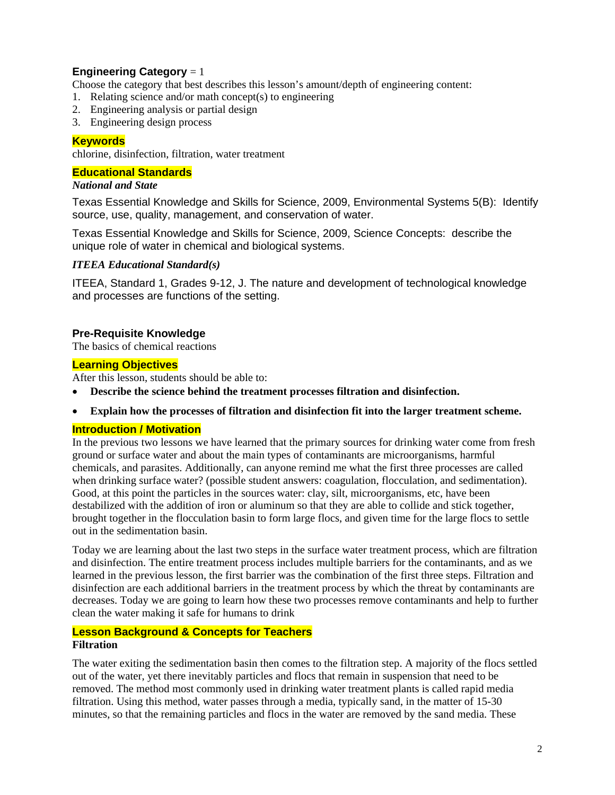# **Engineering Category** = 1

Choose the category that best describes this lesson's amount/depth of engineering content:

- 1. Relating science and/or math concept(s) to engineering
- 2. Engineering analysis or partial design
- 3. Engineering design process

### **Keywords**

chlorine, disinfection, filtration, water treatment

#### **Educational Standards**

#### *National and State*

Texas Essential Knowledge and Skills for Science, 2009, Environmental Systems 5(B): Identify source, use, quality, management, and conservation of water.

Texas Essential Knowledge and Skills for Science, 2009, Science Concepts: describe the unique role of water in chemical and biological systems.

#### *ITEEA Educational Standard(s)*

ITEEA, Standard 1, Grades 9-12, J. The nature and development of technological knowledge and processes are functions of the setting.

#### **Pre-Requisite Knowledge**

The basics of chemical reactions

### **Learning Objectives**

After this lesson, students should be able to:

- **Describe the science behind the treatment processes filtration and disinfection.**
- **Explain how the processes of filtration and disinfection fit into the larger treatment scheme.**

#### **Introduction / Motivation**

In the previous two lessons we have learned that the primary sources for drinking water come from fresh ground or surface water and about the main types of contaminants are microorganisms, harmful chemicals, and parasites. Additionally, can anyone remind me what the first three processes are called when drinking surface water? (possible student answers: coagulation, flocculation, and sedimentation). Good, at this point the particles in the sources water: clay, silt, microorganisms, etc, have been destabilized with the addition of iron or aluminum so that they are able to collide and stick together, brought together in the flocculation basin to form large flocs, and given time for the large flocs to settle out in the sedimentation basin.

Today we are learning about the last two steps in the surface water treatment process, which are filtration and disinfection. The entire treatment process includes multiple barriers for the contaminants, and as we learned in the previous lesson, the first barrier was the combination of the first three steps. Filtration and disinfection are each additional barriers in the treatment process by which the threat by contaminants are decreases. Today we are going to learn how these two processes remove contaminants and help to further clean the water making it safe for humans to drink

#### **Lesson Background & Concepts for Teachers Filtration**

The water exiting the sedimentation basin then comes to the filtration step. A majority of the flocs settled out of the water, yet there inevitably particles and flocs that remain in suspension that need to be removed. The method most commonly used in drinking water treatment plants is called rapid media filtration. Using this method, water passes through a media, typically sand, in the matter of 15-30 minutes, so that the remaining particles and flocs in the water are removed by the sand media. These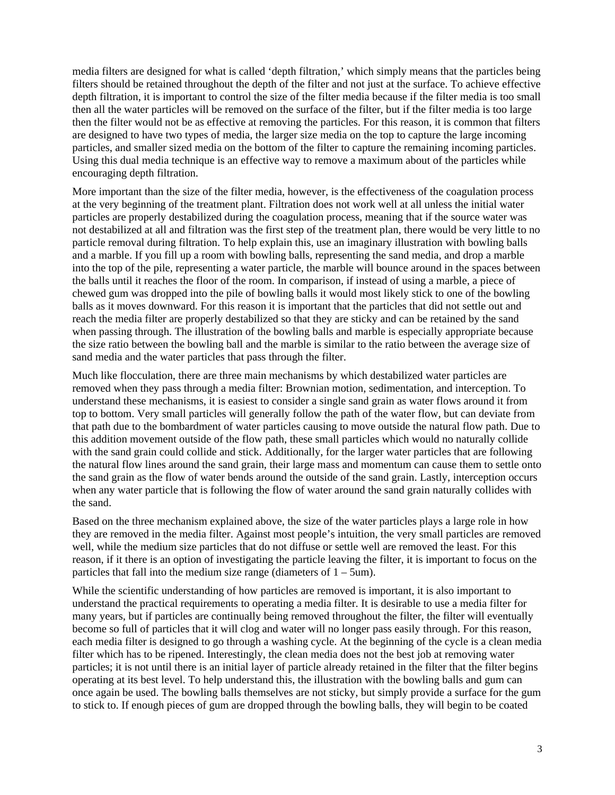media filters are designed for what is called 'depth filtration,' which simply means that the particles being filters should be retained throughout the depth of the filter and not just at the surface. To achieve effective depth filtration, it is important to control the size of the filter media because if the filter media is too small then all the water particles will be removed on the surface of the filter, but if the filter media is too large then the filter would not be as effective at removing the particles. For this reason, it is common that filters are designed to have two types of media, the larger size media on the top to capture the large incoming particles, and smaller sized media on the bottom of the filter to capture the remaining incoming particles. Using this dual media technique is an effective way to remove a maximum about of the particles while encouraging depth filtration.

More important than the size of the filter media, however, is the effectiveness of the coagulation process at the very beginning of the treatment plant. Filtration does not work well at all unless the initial water particles are properly destabilized during the coagulation process, meaning that if the source water was not destabilized at all and filtration was the first step of the treatment plan, there would be very little to no particle removal during filtration. To help explain this, use an imaginary illustration with bowling balls and a marble. If you fill up a room with bowling balls, representing the sand media, and drop a marble into the top of the pile, representing a water particle, the marble will bounce around in the spaces between the balls until it reaches the floor of the room. In comparison, if instead of using a marble, a piece of chewed gum was dropped into the pile of bowling balls it would most likely stick to one of the bowling balls as it moves downward. For this reason it is important that the particles that did not settle out and reach the media filter are properly destabilized so that they are sticky and can be retained by the sand when passing through. The illustration of the bowling balls and marble is especially appropriate because the size ratio between the bowling ball and the marble is similar to the ratio between the average size of sand media and the water particles that pass through the filter.

Much like flocculation, there are three main mechanisms by which destabilized water particles are removed when they pass through a media filter: Brownian motion, sedimentation, and interception. To understand these mechanisms, it is easiest to consider a single sand grain as water flows around it from top to bottom. Very small particles will generally follow the path of the water flow, but can deviate from that path due to the bombardment of water particles causing to move outside the natural flow path. Due to this addition movement outside of the flow path, these small particles which would no naturally collide with the sand grain could collide and stick. Additionally, for the larger water particles that are following the natural flow lines around the sand grain, their large mass and momentum can cause them to settle onto the sand grain as the flow of water bends around the outside of the sand grain. Lastly, interception occurs when any water particle that is following the flow of water around the sand grain naturally collides with the sand.

Based on the three mechanism explained above, the size of the water particles plays a large role in how they are removed in the media filter. Against most people's intuition, the very small particles are removed well, while the medium size particles that do not diffuse or settle well are removed the least. For this reason, if it there is an option of investigating the particle leaving the filter, it is important to focus on the particles that fall into the medium size range (diameters of  $1 - 5$ um).

While the scientific understanding of how particles are removed is important, it is also important to understand the practical requirements to operating a media filter. It is desirable to use a media filter for many years, but if particles are continually being removed throughout the filter, the filter will eventually become so full of particles that it will clog and water will no longer pass easily through. For this reason, each media filter is designed to go through a washing cycle. At the beginning of the cycle is a clean media filter which has to be ripened. Interestingly, the clean media does not the best job at removing water particles; it is not until there is an initial layer of particle already retained in the filter that the filter begins operating at its best level. To help understand this, the illustration with the bowling balls and gum can once again be used. The bowling balls themselves are not sticky, but simply provide a surface for the gum to stick to. If enough pieces of gum are dropped through the bowling balls, they will begin to be coated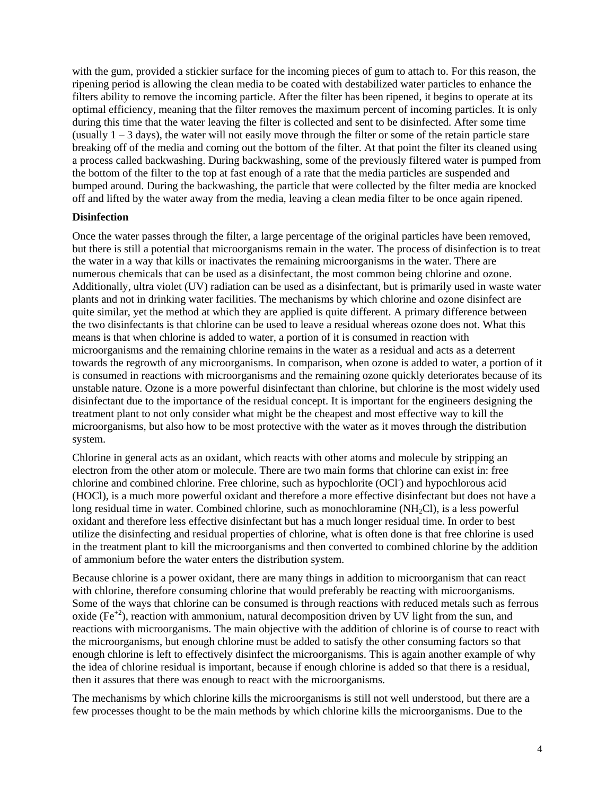with the gum, provided a stickier surface for the incoming pieces of gum to attach to. For this reason, the ripening period is allowing the clean media to be coated with destabilized water particles to enhance the filters ability to remove the incoming particle. After the filter has been ripened, it begins to operate at its optimal efficiency, meaning that the filter removes the maximum percent of incoming particles. It is only during this time that the water leaving the filter is collected and sent to be disinfected. After some time (usually  $1 - 3$  days), the water will not easily move through the filter or some of the retain particle stare breaking off of the media and coming out the bottom of the filter. At that point the filter its cleaned using a process called backwashing. During backwashing, some of the previously filtered water is pumped from the bottom of the filter to the top at fast enough of a rate that the media particles are suspended and bumped around. During the backwashing, the particle that were collected by the filter media are knocked off and lifted by the water away from the media, leaving a clean media filter to be once again ripened.

#### **Disinfection**

Once the water passes through the filter, a large percentage of the original particles have been removed, but there is still a potential that microorganisms remain in the water. The process of disinfection is to treat the water in a way that kills or inactivates the remaining microorganisms in the water. There are numerous chemicals that can be used as a disinfectant, the most common being chlorine and ozone. Additionally, ultra violet (UV) radiation can be used as a disinfectant, but is primarily used in waste water plants and not in drinking water facilities. The mechanisms by which chlorine and ozone disinfect are quite similar, yet the method at which they are applied is quite different. A primary difference between the two disinfectants is that chlorine can be used to leave a residual whereas ozone does not. What this means is that when chlorine is added to water, a portion of it is consumed in reaction with microorganisms and the remaining chlorine remains in the water as a residual and acts as a deterrent towards the regrowth of any microorganisms. In comparison, when ozone is added to water, a portion of it is consumed in reactions with microorganisms and the remaining ozone quickly deteriorates because of its unstable nature. Ozone is a more powerful disinfectant than chlorine, but chlorine is the most widely used disinfectant due to the importance of the residual concept. It is important for the engineers designing the treatment plant to not only consider what might be the cheapest and most effective way to kill the microorganisms, but also how to be most protective with the water as it moves through the distribution system.

Chlorine in general acts as an oxidant, which reacts with other atoms and molecule by stripping an electron from the other atom or molecule. There are two main forms that chlorine can exist in: free chlorine and combined chlorine. Free chlorine, such as hypochlorite (OCl<sup>-</sup>) and hypochlorous acid (HOCl), is a much more powerful oxidant and therefore a more effective disinfectant but does not have a long residual time in water. Combined chlorine, such as monochloramine  $(NH<sub>2</sub>Cl)$ , is a less powerful oxidant and therefore less effective disinfectant but has a much longer residual time. In order to best utilize the disinfecting and residual properties of chlorine, what is often done is that free chlorine is used in the treatment plant to kill the microorganisms and then converted to combined chlorine by the addition of ammonium before the water enters the distribution system.

Because chlorine is a power oxidant, there are many things in addition to microorganism that can react with chlorine, therefore consuming chlorine that would preferably be reacting with microorganisms. Some of the ways that chlorine can be consumed is through reactions with reduced metals such as ferrous oxide (Fe<sup>+2</sup>), reaction with ammonium, natural decomposition driven by UV light from the sun, and reactions with microorganisms. The main objective with the addition of chlorine is of course to react with the microorganisms, but enough chlorine must be added to satisfy the other consuming factors so that enough chlorine is left to effectively disinfect the microorganisms. This is again another example of why the idea of chlorine residual is important, because if enough chlorine is added so that there is a residual, then it assures that there was enough to react with the microorganisms.

The mechanisms by which chlorine kills the microorganisms is still not well understood, but there are a few processes thought to be the main methods by which chlorine kills the microorganisms. Due to the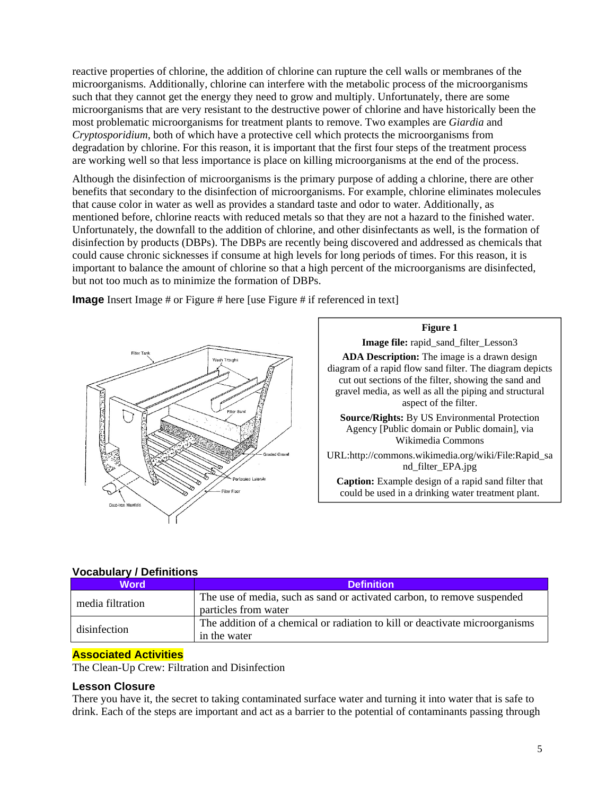reactive properties of chlorine, the addition of chlorine can rupture the cell walls or membranes of the microorganisms. Additionally, chlorine can interfere with the metabolic process of the microorganisms such that they cannot get the energy they need to grow and multiply. Unfortunately, there are some microorganisms that are very resistant to the destructive power of chlorine and have historically been the most problematic microorganisms for treatment plants to remove. Two examples are *Giardia* and *Cryptosporidium*, both of which have a protective cell which protects the microorganisms from degradation by chlorine. For this reason, it is important that the first four steps of the treatment process are working well so that less importance is place on killing microorganisms at the end of the process.

Although the disinfection of microorganisms is the primary purpose of adding a chlorine, there are other benefits that secondary to the disinfection of microorganisms. For example, chlorine eliminates molecules that cause color in water as well as provides a standard taste and odor to water. Additionally, as mentioned before, chlorine reacts with reduced metals so that they are not a hazard to the finished water. Unfortunately, the downfall to the addition of chlorine, and other disinfectants as well, is the formation of disinfection by products (DBPs). The DBPs are recently being discovered and addressed as chemicals that could cause chronic sicknesses if consume at high levels for long periods of times. For this reason, it is important to balance the amount of chlorine so that a high percent of the microorganisms are disinfected, but not too much as to minimize the formation of DBPs.

**Image** Insert Image # or Figure # here [use Figure # if referenced in text]





# **Vocabulary / Definitions**

| <b>Word</b>      | <b>Definition</b>                                                                               |
|------------------|-------------------------------------------------------------------------------------------------|
| media filtration | The use of media, such as sand or activated carbon, to remove suspended<br>particles from water |
| disinfection     | The addition of a chemical or radiation to kill or deactivate microorganisms<br>in the water    |

# **Associated Activities**

The Clean-Up Crew: Filtration and Disinfection

#### **Lesson Closure**

There you have it, the secret to taking contaminated surface water and turning it into water that is safe to drink. Each of the steps are important and act as a barrier to the potential of contaminants passing through